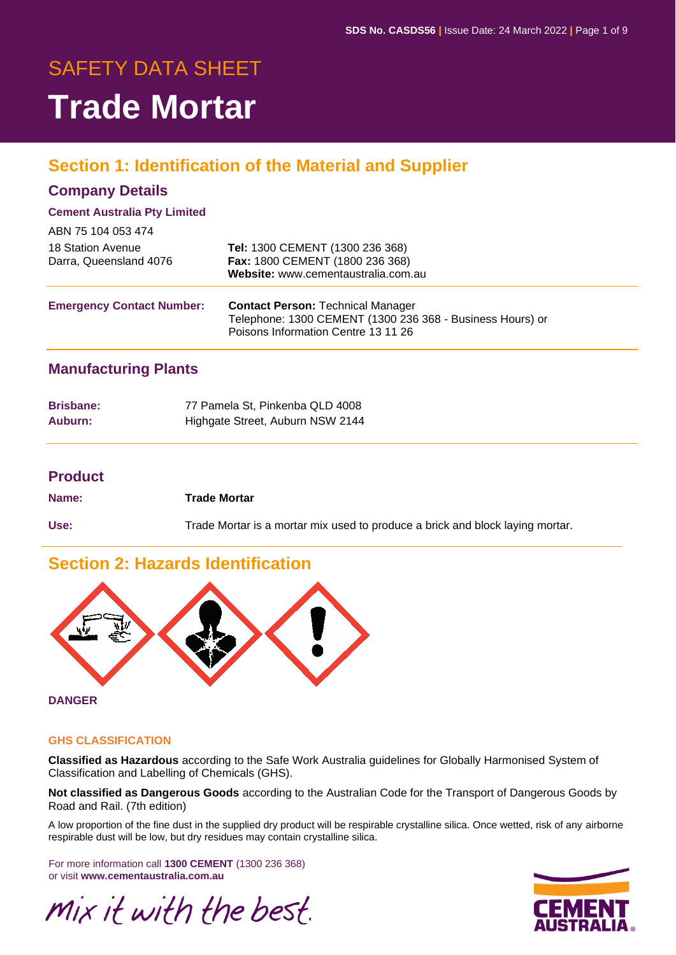# SAFETY DATA SHEET **Trade Mortar**

# **Section 1: Identification of the Material and Supplier**

#### **Company Details**

#### **Cement Australia Pty Limited**

| ABN 75 104 053 474                          |                                                                                                                                              |
|---------------------------------------------|----------------------------------------------------------------------------------------------------------------------------------------------|
| 18 Station Avenue<br>Darra, Queensland 4076 | Tel: 1300 CEMENT (1300 236 368)<br>Fax: 1800 CEMENT (1800 236 368)<br>Website: www.cementaustralia.com.au                                    |
| <b>Emergency Contact Number:</b>            | <b>Contact Person: Technical Manager</b><br>Telephone: 1300 CEMENT (1300 236 368 - Business Hours) or<br>Poisons Information Centre 13 11 26 |

#### **Manufacturing Plants**

| <b>Brisbane:</b> | 77 Pamela St, Pinkenba QLD 4008  |
|------------------|----------------------------------|
| Auburn:          | Highgate Street, Auburn NSW 2144 |

#### **Product**

| Name: | Trade Mortar                                                                  |
|-------|-------------------------------------------------------------------------------|
| Use:  | Trade Mortar is a mortar mix used to produce a brick and block laying mortar. |

# **Section 2: Hazards Identification**



**DANGER**

#### **GHS CLASSIFICATION**

**Classified as Hazardous** according to the Safe Work Australia guidelines for Globally Harmonised System of Classification and Labelling of Chemicals (GHS).

**Not classified as Dangerous Goods** according to the Australian Code for the Transport of Dangerous Goods by Road and Rail. (7th edition)

A low proportion of the fine dust in the supplied dry product will be respirable crystalline silica. Once wetted, risk of any airborne respirable dust will be low, but dry residues may contain crystalline silica.

For more information call **1300 CEMENT** (1300 236 368) or visit **www.cementaustralia.com.au**

Mix it with the best.

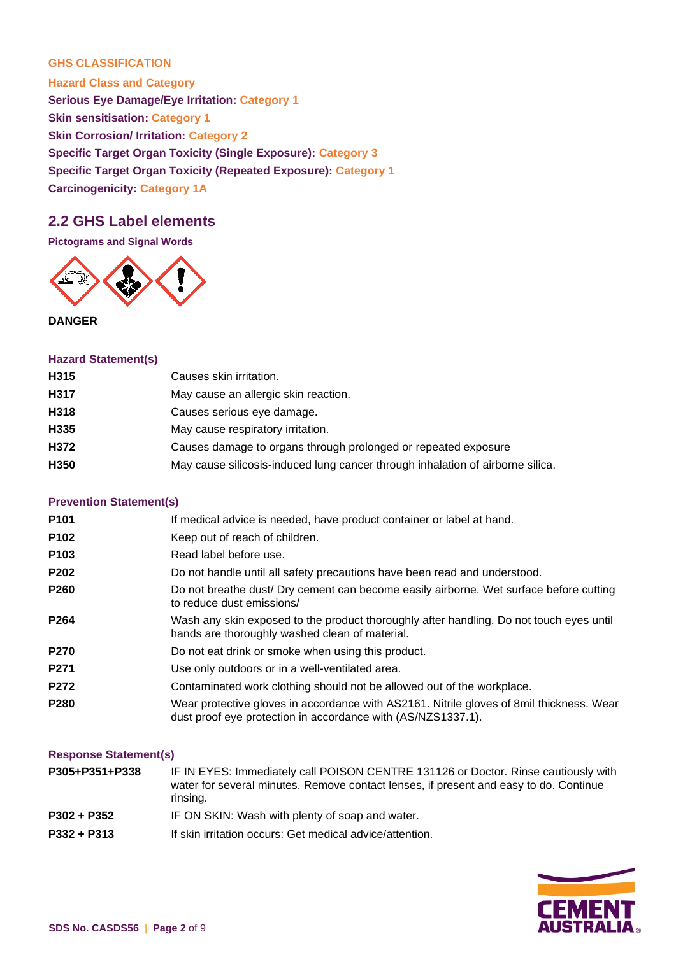#### **GHS CLASSIFICATION**

**Hazard Class and Category Serious Eye Damage/Eye Irritation: Category 1 Skin sensitisation: Category 1 Skin Corrosion/ Irritation: Category 2 Specific Target Organ Toxicity (Single Exposure): Category 3 Specific Target Organ Toxicity (Repeated Exposure): Category 1 Carcinogenicity: Category 1A**

#### **2.2 GHS Label elements**

**Pictograms and Signal Words**



**DANGER**

#### **Hazard Statement(s)**

| May cause silicosis-induced lung cancer through inhalation of airborne silica. |
|--------------------------------------------------------------------------------|
|                                                                                |

#### **Prevention Statement(s)**

| P <sub>101</sub> | If medical advice is needed, have product container or label at hand.                                                                                    |
|------------------|----------------------------------------------------------------------------------------------------------------------------------------------------------|
| P102             | Keep out of reach of children.                                                                                                                           |
| P103             | Read label before use.                                                                                                                                   |
| P202             | Do not handle until all safety precautions have been read and understood.                                                                                |
| P260             | Do not breathe dust/ Dry cement can become easily airborne. Wet surface before cutting<br>to reduce dust emissions/                                      |
| P264             | Wash any skin exposed to the product thoroughly after handling. Do not touch eyes until<br>hands are thoroughly washed clean of material.                |
| <b>P270</b>      | Do not eat drink or smoke when using this product.                                                                                                       |
| P271             | Use only outdoors or in a well-ventilated area.                                                                                                          |
| P272             | Contaminated work clothing should not be allowed out of the workplace.                                                                                   |
| P280             | Wear protective gloves in accordance with AS2161. Nitrile gloves of 8mil thickness. Wear<br>dust proof eye protection in accordance with (AS/NZS1337.1). |

#### **Response Statement(s)**

| P305+P351+P338 | IF IN EYES: Immediately call POISON CENTRE 131126 or Doctor. Rinse cautiously with<br>water for several minutes. Remove contact lenses, if present and easy to do. Continue<br>rinsing. |
|----------------|-----------------------------------------------------------------------------------------------------------------------------------------------------------------------------------------|
| P302 + P352    | IF ON SKIN: Wash with plenty of soap and water.                                                                                                                                         |
| P332 + P313    | If skin irritation occurs: Get medical advice/attention.                                                                                                                                |

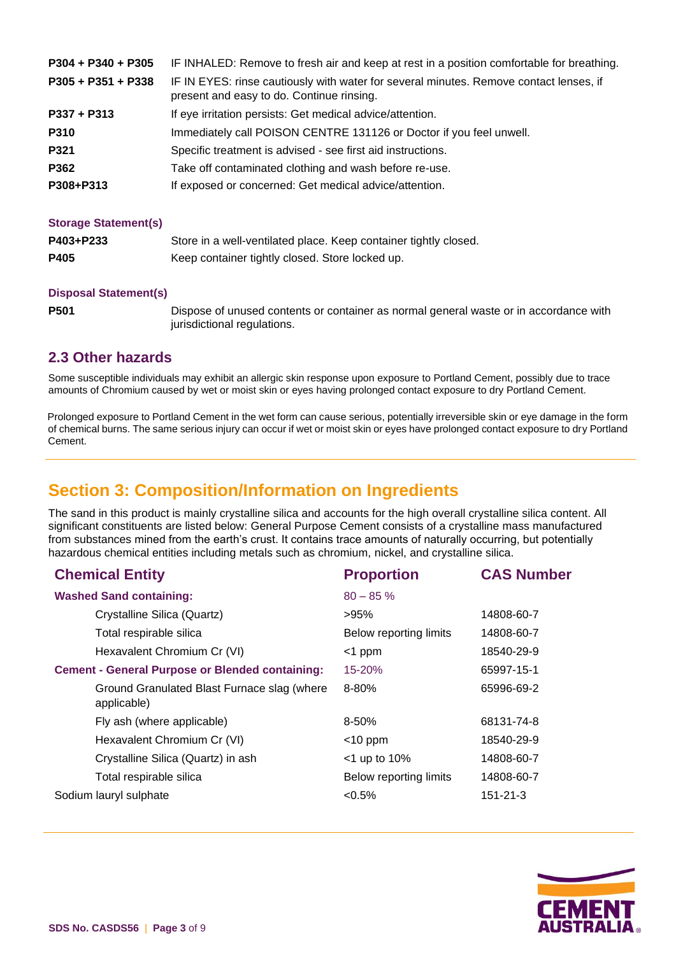| $P304 + P340 + P305$ | IF INHALED: Remove to fresh air and keep at rest in a position comfortable for breathing.                                           |
|----------------------|-------------------------------------------------------------------------------------------------------------------------------------|
| $P305 + P351 + P338$ | IF IN EYES: rinse cautiously with water for several minutes. Remove contact lenses, if<br>present and easy to do. Continue rinsing. |
| $P337 + P313$        | If eye irritation persists: Get medical advice/attention.                                                                           |
| P310                 | Immediately call POISON CENTRE 131126 or Doctor if you feel unwell.                                                                 |
| P321                 | Specific treatment is advised - see first aid instructions.                                                                         |
| P362                 | Take off contaminated clothing and wash before re-use.                                                                              |
| P308+P313            | If exposed or concerned: Get medical advice/attention.                                                                              |

#### **Storage Statement(s)**

| P403+P233 | Store in a well-ventilated place. Keep container tightly closed. |
|-----------|------------------------------------------------------------------|
| P405      | Keep container tightly closed. Store locked up.                  |

#### **Disposal Statement(s)**

**P501** Dispose of unused contents or container as normal general waste or in accordance with jurisdictional regulations.

#### **2.3 Other hazards**

Some susceptible individuals may exhibit an allergic skin response upon exposure to Portland Cement, possibly due to trace amounts of Chromium caused by wet or moist skin or eyes having prolonged contact exposure to dry Portland Cement.

Prolonged exposure to Portland Cement in the wet form can cause serious, potentially irreversible skin or eye damage in the form of chemical burns. The same serious injury can occur if wet or moist skin or eyes have prolonged contact exposure to dry Portland Cement.

# **Section 3: Composition/Information on Ingredients**

The sand in this product is mainly crystalline silica and accounts for the high overall crystalline silica content. All significant constituents are listed below: General Purpose Cement consists of a crystalline mass manufactured from substances mined from the earth's crust. It contains trace amounts of naturally occurring, but potentially hazardous chemical entities including metals such as chromium, nickel, and crystalline silica.

| <b>Chemical Entity</b>                                     | <b>Proportion</b>      | <b>CAS Number</b> |
|------------------------------------------------------------|------------------------|-------------------|
| <b>Washed Sand containing:</b>                             | $80 - 85%$             |                   |
| Crystalline Silica (Quartz)                                | >95%                   | 14808-60-7        |
| Total respirable silica                                    | Below reporting limits | 14808-60-7        |
| Hexavalent Chromium Cr (VI)                                | $<$ 1 ppm              | 18540-29-9        |
| <b>Cement - General Purpose or Blended containing:</b>     | $15 - 20%$             | 65997-15-1        |
| Ground Granulated Blast Furnace slag (where<br>applicable) | 8-80%                  | 65996-69-2        |
| Fly ash (where applicable)                                 | 8-50%                  | 68131-74-8        |
| Hexavalent Chromium Cr (VI)                                | $<$ 10 ppm             | 18540-29-9        |
| Crystalline Silica (Quartz) in ash                         | $<$ 1 up to 10%        | 14808-60-7        |
| Total respirable silica                                    | Below reporting limits | 14808-60-7        |
| Sodium lauryl sulphate                                     | $<0.5\%$               | $151 - 21 - 3$    |
|                                                            |                        |                   |

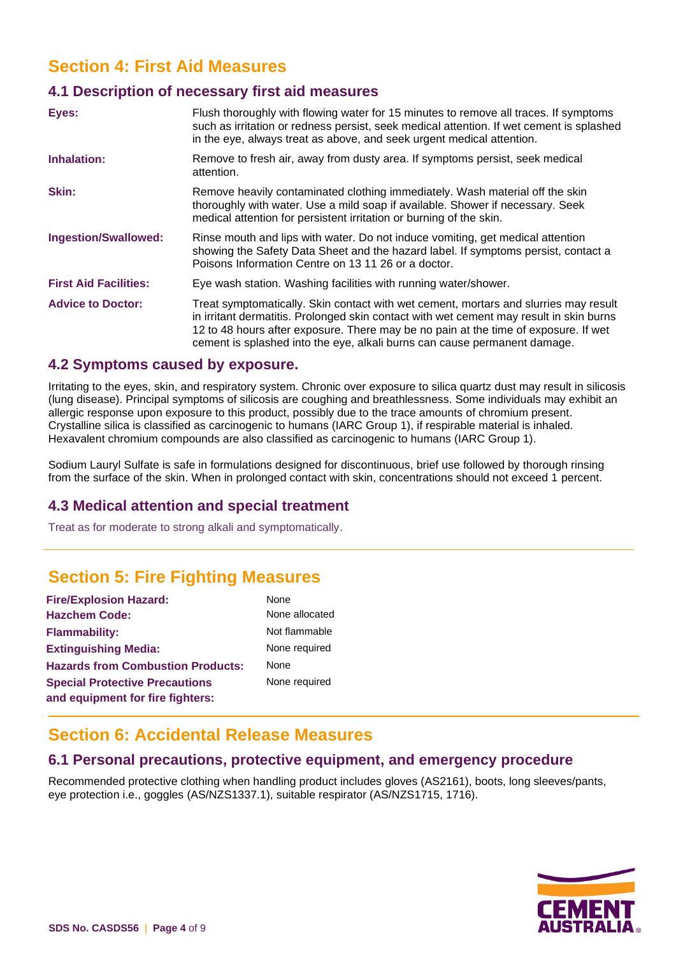# **Section 4: First Aid Measures**

#### **4.1 Description of necessary first aid measures**

| Eyes:                        | Flush thoroughly with flowing water for 15 minutes to remove all traces. If symptoms<br>such as irritation or redness persist, seek medical attention. If wet cement is splashed<br>in the eye, always treat as above, and seek urgent medical attention.                                                                                           |
|------------------------------|-----------------------------------------------------------------------------------------------------------------------------------------------------------------------------------------------------------------------------------------------------------------------------------------------------------------------------------------------------|
| Inhalation:                  | Remove to fresh air, away from dusty area. If symptoms persist, seek medical<br>attention.                                                                                                                                                                                                                                                          |
| <b>Skin:</b>                 | Remove heavily contaminated clothing immediately. Wash material off the skin<br>thoroughly with water. Use a mild soap if available. Shower if necessary. Seek<br>medical attention for persistent irritation or burning of the skin.                                                                                                               |
| <b>Ingestion/Swallowed:</b>  | Rinse mouth and lips with water. Do not induce vomiting, get medical attention<br>showing the Safety Data Sheet and the hazard label. If symptoms persist, contact a<br>Poisons Information Centre on 13 11 26 or a doctor.                                                                                                                         |
| <b>First Aid Facilities:</b> | Eye wash station. Washing facilities with running water/shower.                                                                                                                                                                                                                                                                                     |
| <b>Advice to Doctor:</b>     | Treat symptomatically. Skin contact with wet cement, mortars and slurries may result<br>in irritant dermatitis. Prolonged skin contact with wet cement may result in skin burns<br>12 to 48 hours after exposure. There may be no pain at the time of exposure. If wet<br>cement is splashed into the eye, alkali burns can cause permanent damage. |

#### **4.2 Symptoms caused by exposure.**

Irritating to the eyes, skin, and respiratory system. Chronic over exposure to silica quartz dust may result in silicosis (lung disease). Principal symptoms of silicosis are coughing and breathlessness. Some individuals may exhibit an allergic response upon exposure to this product, possibly due to the trace amounts of chromium present. Crystalline silica is classified as carcinogenic to humans (IARC Group 1), if respirable material is inhaled. Hexavalent chromium compounds are also classified as carcinogenic to humans (IARC Group 1).

Sodium Lauryl Sulfate is safe in formulations designed for discontinuous, brief use followed by thorough rinsing from the surface of the skin. When in prolonged contact with skin, concentrations should not exceed 1 percent.

#### **4.3 Medical attention and special treatment**

Treat as for moderate to strong alkali and symptomatically.

# **Section 5: Fire Fighting Measures**

| <b>Fire/Explosion Hazard:</b>            | None           |  |
|------------------------------------------|----------------|--|
| <b>Hazchem Code:</b>                     | None allocated |  |
| <b>Flammability:</b>                     | Not flammable  |  |
| <b>Extinguishing Media:</b>              | None required  |  |
| <b>Hazards from Combustion Products:</b> | None           |  |
| <b>Special Protective Precautions</b>    | None required  |  |
| and equipment for fire fighters:         |                |  |

# ired

# **Section 6: Accidental Release Measures**

#### **6.1 Personal precautions, protective equipment, and emergency procedure**

Recommended protective clothing when handling product includes gloves (AS2161), boots, long sleeves/pants, eye protection i.e., goggles (AS/NZS1337.1), suitable respirator (AS/NZS1715, 1716).

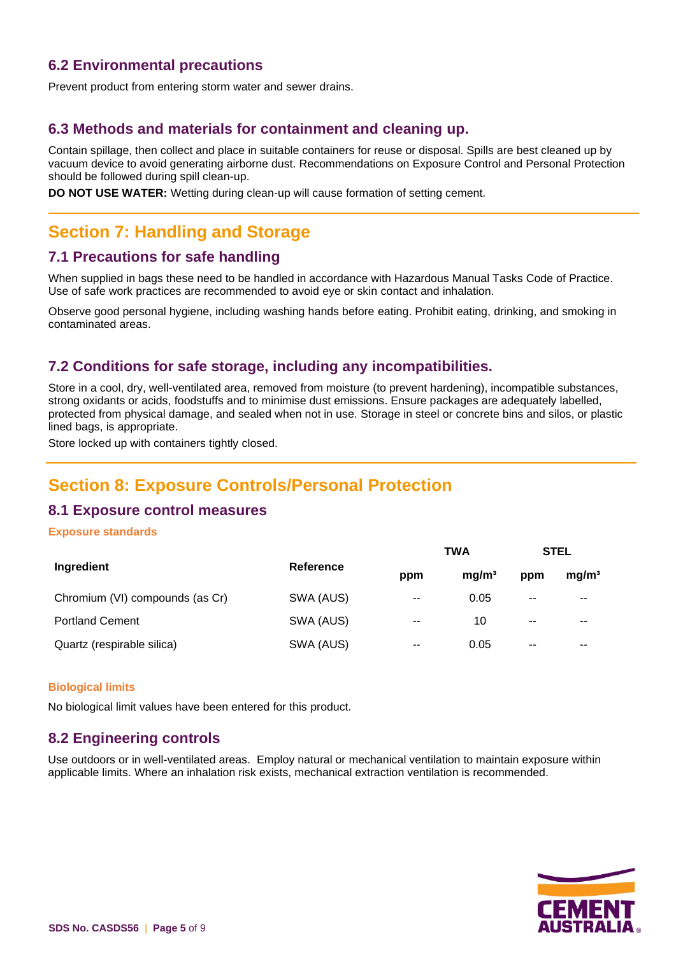#### **6.2 Environmental precautions**

Prevent product from entering storm water and sewer drains.

#### **6.3 Methods and materials for containment and cleaning up.**

Contain spillage, then collect and place in suitable containers for reuse or disposal. Spills are best cleaned up by vacuum device to avoid generating airborne dust. Recommendations on Exposure Control and Personal Protection should be followed during spill clean-up.

**DO NOT USE WATER:** Wetting during clean-up will cause formation of setting cement.

# **Section 7: Handling and Storage**

#### **7.1 Precautions for safe handling**

When supplied in bags these need to be handled in accordance with Hazardous Manual Tasks Code of Practice. Use of safe work practices are recommended to avoid eye or skin contact and inhalation.

Observe good personal hygiene, including washing hands before eating. Prohibit eating, drinking, and smoking in contaminated areas.

#### **7.2 Conditions for safe storage, including any incompatibilities.**

Store in a cool, dry, well-ventilated area, removed from moisture (to prevent hardening), incompatible substances, strong oxidants or acids, foodstuffs and to minimise dust emissions. Ensure packages are adequately labelled, protected from physical damage, and sealed when not in use. Storage in steel or concrete bins and silos, or plastic lined bags, is appropriate.

Store locked up with containers tightly closed.

# **Section 8: Exposure Controls/Personal Protection**

#### **8.1 Exposure control measures**

#### **Exposure standards**

|                                 |           |               | <b>TWA</b>        |       | <b>STEL</b>              |  |
|---------------------------------|-----------|---------------|-------------------|-------|--------------------------|--|
| Ingredient                      | Reference | ppm           | mg/m <sup>3</sup> | ppm   | mg/m <sup>3</sup>        |  |
| Chromium (VI) compounds (as Cr) | SWA (AUS) | $\sim$ $\sim$ | 0.05              | $- -$ | $\overline{\phantom{a}}$ |  |
| <b>Portland Cement</b>          | SWA (AUS) | $- -$         | 10                | $- -$ | $- -$                    |  |
| Quartz (respirable silica)      | SWA (AUS) | $-$           | 0.05              | $- -$ | $- -$                    |  |

#### **Biological limits**

No biological limit values have been entered for this product.

#### **8.2 Engineering controls**

Use outdoors or in well-ventilated areas. Employ natural or mechanical ventilation to maintain exposure within applicable limits. Where an inhalation risk exists, mechanical extraction ventilation is recommended.

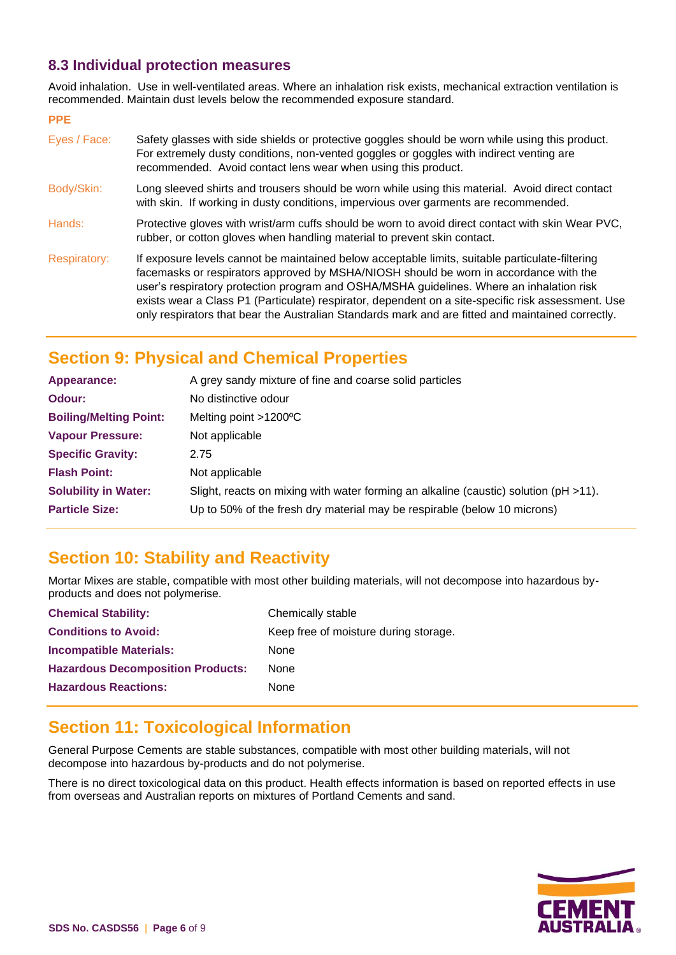#### **8.3 Individual protection measures**

Avoid inhalation. Use in well-ventilated areas. Where an inhalation risk exists, mechanical extraction ventilation is recommended. Maintain dust levels below the recommended exposure standard.

#### **PPE**

| Eyes / Face:        | Safety glasses with side shields or protective goggles should be worn while using this product.<br>For extremely dusty conditions, non-vented goggles or goggles with indirect venting are<br>recommended. Avoid contact lens wear when using this product.                                                                                                                                                                                                                                     |
|---------------------|-------------------------------------------------------------------------------------------------------------------------------------------------------------------------------------------------------------------------------------------------------------------------------------------------------------------------------------------------------------------------------------------------------------------------------------------------------------------------------------------------|
| Body/Skin:          | Long sleeved shirts and trousers should be worn while using this material. Avoid direct contact<br>with skin. If working in dusty conditions, impervious over garments are recommended.                                                                                                                                                                                                                                                                                                         |
| Hands:              | Protective gloves with wrist/arm cuffs should be worn to avoid direct contact with skin Wear PVC,<br>rubber, or cotton gloves when handling material to prevent skin contact.                                                                                                                                                                                                                                                                                                                   |
| <b>Respiratory:</b> | If exposure levels cannot be maintained below acceptable limits, suitable particulate-filtering<br>facemasks or respirators approved by MSHA/NIOSH should be worn in accordance with the<br>user's respiratory protection program and OSHA/MSHA guidelines. Where an inhalation risk<br>exists wear a Class P1 (Particulate) respirator, dependent on a site-specific risk assessment. Use<br>only respirators that bear the Australian Standards mark and are fitted and maintained correctly. |

# **Section 9: Physical and Chemical Properties**

| Appearance:                   | A grey sandy mixture of fine and coarse solid particles                                   |
|-------------------------------|-------------------------------------------------------------------------------------------|
| Odour:                        | No distinctive odour                                                                      |
| <b>Boiling/Melting Point:</b> | Melting point >1200°C                                                                     |
| <b>Vapour Pressure:</b>       | Not applicable                                                                            |
| <b>Specific Gravity:</b>      | 2.75                                                                                      |
| <b>Flash Point:</b>           | Not applicable                                                                            |
| <b>Solubility in Water:</b>   | Slight, reacts on mixing with water forming an alkaline (caustic) solution ( $pH > 11$ ). |
| <b>Particle Size:</b>         | Up to 50% of the fresh dry material may be respirable (below 10 microns)                  |

# **Section 10: Stability and Reactivity**

Mortar Mixes are stable, compatible with most other building materials, will not decompose into hazardous byproducts and does not polymerise.

| <b>Chemical Stability:</b>               | Chemically stable                     |
|------------------------------------------|---------------------------------------|
| <b>Conditions to Avoid:</b>              | Keep free of moisture during storage. |
| <b>Incompatible Materials:</b>           | <b>None</b>                           |
| <b>Hazardous Decomposition Products:</b> | <b>None</b>                           |
| <b>Hazardous Reactions:</b>              | None                                  |

# **Section 11: Toxicological Information**

General Purpose Cements are stable substances, compatible with most other building materials, will not decompose into hazardous by-products and do not polymerise.

There is no direct toxicological data on this product. Health effects information is based on reported effects in use from overseas and Australian reports on mixtures of Portland Cements and sand.

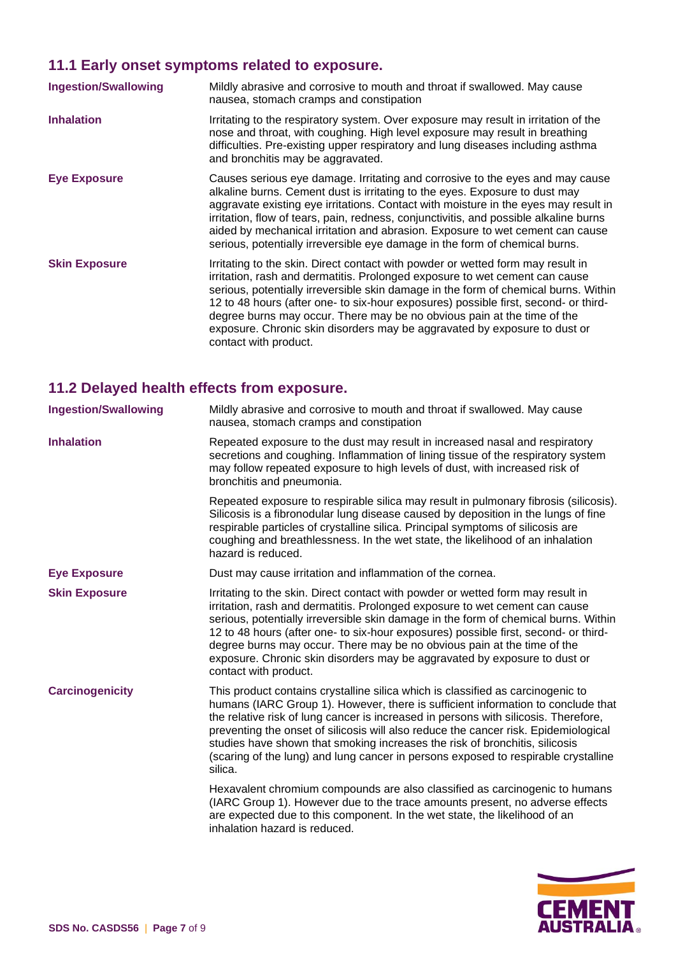# **11.1 Early onset symptoms related to exposure.**

| <b>Ingestion/Swallowing</b> | Mildly abrasive and corrosive to mouth and throat if swallowed. May cause<br>nausea, stomach cramps and constipation                                                                                                                                                                                                                                                                                                                                                                                                          |
|-----------------------------|-------------------------------------------------------------------------------------------------------------------------------------------------------------------------------------------------------------------------------------------------------------------------------------------------------------------------------------------------------------------------------------------------------------------------------------------------------------------------------------------------------------------------------|
| <b>Inhalation</b>           | Irritating to the respiratory system. Over exposure may result in irritation of the<br>nose and throat, with coughing. High level exposure may result in breathing<br>difficulties. Pre-existing upper respiratory and lung diseases including asthma<br>and bronchitis may be aggravated.                                                                                                                                                                                                                                    |
| <b>Eye Exposure</b>         | Causes serious eye damage. Irritating and corrosive to the eyes and may cause<br>alkaline burns. Cement dust is irritating to the eyes. Exposure to dust may<br>aggravate existing eye irritations. Contact with moisture in the eyes may result in<br>irritation, flow of tears, pain, redness, conjunctivitis, and possible alkaline burns<br>aided by mechanical irritation and abrasion. Exposure to wet cement can cause<br>serious, potentially irreversible eye damage in the form of chemical burns.                  |
| <b>Skin Exposure</b>        | Irritating to the skin. Direct contact with powder or wetted form may result in<br>irritation, rash and dermatitis. Prolonged exposure to wet cement can cause<br>serious, potentially irreversible skin damage in the form of chemical burns. Within<br>12 to 48 hours (after one- to six-hour exposures) possible first, second- or third-<br>degree burns may occur. There may be no obvious pain at the time of the<br>exposure. Chronic skin disorders may be aggravated by exposure to dust or<br>contact with product. |

# **11.2 Delayed health effects from exposure.**

| <b>Ingestion/Swallowing</b> | Mildly abrasive and corrosive to mouth and throat if swallowed. May cause<br>nausea, stomach cramps and constipation                                                                                                                                                                                                                                                                                                                                                                                                              |
|-----------------------------|-----------------------------------------------------------------------------------------------------------------------------------------------------------------------------------------------------------------------------------------------------------------------------------------------------------------------------------------------------------------------------------------------------------------------------------------------------------------------------------------------------------------------------------|
| <b>Inhalation</b>           | Repeated exposure to the dust may result in increased nasal and respiratory<br>secretions and coughing. Inflammation of lining tissue of the respiratory system<br>may follow repeated exposure to high levels of dust, with increased risk of<br>bronchitis and pneumonia.                                                                                                                                                                                                                                                       |
|                             | Repeated exposure to respirable silica may result in pulmonary fibrosis (silicosis).<br>Silicosis is a fibronodular lung disease caused by deposition in the lungs of fine<br>respirable particles of crystalline silica. Principal symptoms of silicosis are<br>coughing and breathlessness. In the wet state, the likelihood of an inhalation<br>hazard is reduced.                                                                                                                                                             |
| <b>Eye Exposure</b>         | Dust may cause irritation and inflammation of the cornea.                                                                                                                                                                                                                                                                                                                                                                                                                                                                         |
| <b>Skin Exposure</b>        | Irritating to the skin. Direct contact with powder or wetted form may result in<br>irritation, rash and dermatitis. Prolonged exposure to wet cement can cause<br>serious, potentially irreversible skin damage in the form of chemical burns. Within<br>12 to 48 hours (after one- to six-hour exposures) possible first, second- or third-<br>degree burns may occur. There may be no obvious pain at the time of the<br>exposure. Chronic skin disorders may be aggravated by exposure to dust or<br>contact with product.     |
| <b>Carcinogenicity</b>      | This product contains crystalline silica which is classified as carcinogenic to<br>humans (IARC Group 1). However, there is sufficient information to conclude that<br>the relative risk of lung cancer is increased in persons with silicosis. Therefore,<br>preventing the onset of silicosis will also reduce the cancer risk. Epidemiological<br>studies have shown that smoking increases the risk of bronchitis, silicosis<br>(scaring of the lung) and lung cancer in persons exposed to respirable crystalline<br>silica. |
|                             | Hexavalent chromium compounds are also classified as carcinogenic to humans<br>(IARC Group 1). However due to the trace amounts present, no adverse effects<br>are expected due to this component. In the wet state, the likelihood of an<br>inhalation hazard is reduced.                                                                                                                                                                                                                                                        |

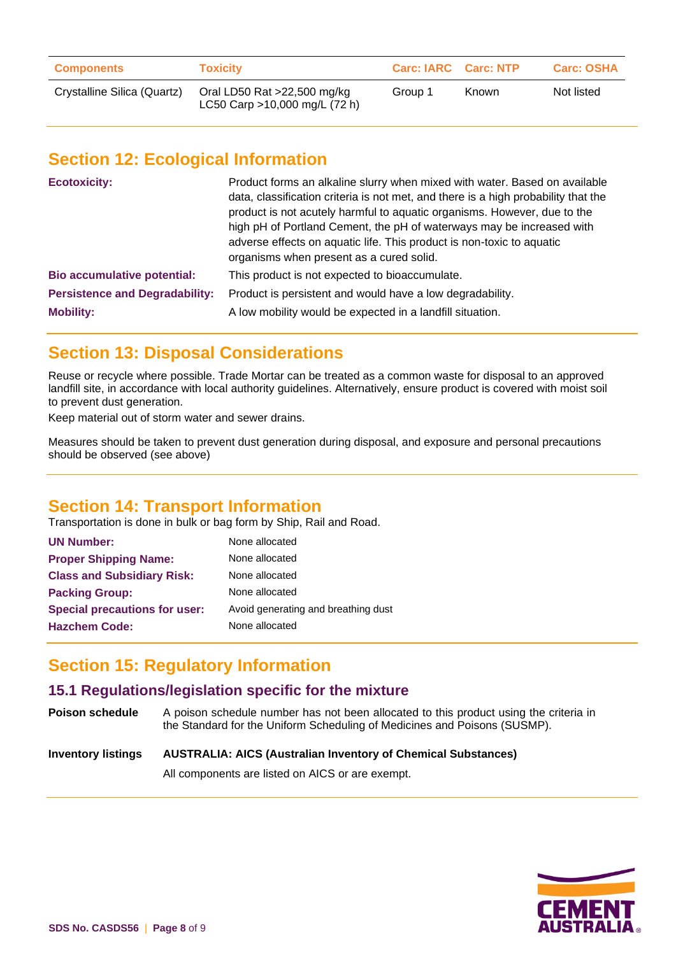| <b>Components</b>           | <b>Toxicity</b>                                              | <b>Carc: IARC Carc: NTP</b> |              | <b>Carc: OSHA</b> |
|-----------------------------|--------------------------------------------------------------|-----------------------------|--------------|-------------------|
| Crystalline Silica (Quartz) | Oral LD50 Rat >22,500 mg/kg<br>LC50 Carp >10,000 mg/L (72 h) | Group 1                     | <b>Known</b> | Not listed        |

# **Section 12: Ecological Information**

| <b>Ecotoxicity:</b>                   | Product forms an alkaline slurry when mixed with water. Based on available<br>data, classification criteria is not met, and there is a high probability that the<br>product is not acutely harmful to aquatic organisms. However, due to the<br>high pH of Portland Cement, the pH of waterways may be increased with<br>adverse effects on aquatic life. This product is non-toxic to aquatic<br>organisms when present as a cured solid. |
|---------------------------------------|--------------------------------------------------------------------------------------------------------------------------------------------------------------------------------------------------------------------------------------------------------------------------------------------------------------------------------------------------------------------------------------------------------------------------------------------|
| <b>Bio accumulative potential:</b>    | This product is not expected to bioaccumulate.                                                                                                                                                                                                                                                                                                                                                                                             |
| <b>Persistence and Degradability:</b> | Product is persistent and would have a low degradability.                                                                                                                                                                                                                                                                                                                                                                                  |
| <b>Mobility:</b>                      | A low mobility would be expected in a landfill situation.                                                                                                                                                                                                                                                                                                                                                                                  |

# **Section 13: Disposal Considerations**

Reuse or recycle where possible. Trade Mortar can be treated as a common waste for disposal to an approved landfill site, in accordance with local authority guidelines. Alternatively, ensure product is covered with moist soil to prevent dust generation.

Keep material out of storm water and sewer drains.

Measures should be taken to prevent dust generation during disposal, and exposure and personal precautions should be observed (see above)

# **Section 14: Transport Information**

Transportation is done in bulk or bag form by Ship, Rail and Road.

| None allocated                      |
|-------------------------------------|
| None allocated                      |
| None allocated                      |
| None allocated                      |
| Avoid generating and breathing dust |
| None allocated                      |
|                                     |

# **Section 15: Regulatory Information**

#### **15.1 Regulations/legislation specific for the mixture**

**Poison schedule** A poison schedule number has not been allocated to this product using the criteria in the Standard for the Uniform Scheduling of Medicines and Poisons (SUSMP).

#### **Inventory listings AUSTRALIA: AICS (Australian Inventory of Chemical Substances)**

All components are listed on AICS or are exempt.